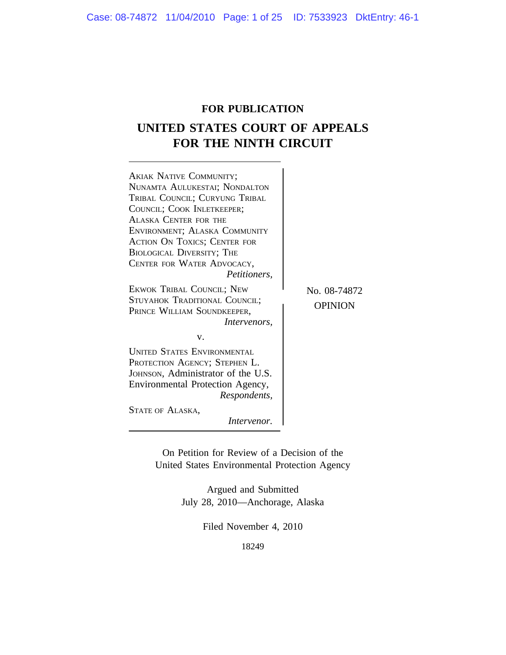## **FOR PUBLICATION**

# **UNITED STATES COURT OF APPEALS FOR THE NINTH CIRCUIT**

 $\overline{\phantom{a}}$ 

| AKIAK NATIVE COMMUNITY;<br>NUNAMTA AULUKESTAI; NONDALTON<br>TRIBAL COUNCIL; CURYUNG TRIBAL<br>COUNCIL; COOK INLETKEEPER;<br>ALASKA CENTER FOR THE<br>ENVIRONMENT; ALASKA COMMUNITY<br><b>ACTION ON TOXICS; CENTER FOR</b><br>BIOLOGICAL DIVERSITY; THE<br>CENTER FOR WATER ADVOCACY,<br>Petitioners, |                                |
|------------------------------------------------------------------------------------------------------------------------------------------------------------------------------------------------------------------------------------------------------------------------------------------------------|--------------------------------|
| EKWOK TRIBAL COUNCIL; NEW<br>STUYAHOK TRADITIONAL COUNCIL;<br>PRINCE WILLIAM SOUNDKEEPER,<br><i>Intervenors,</i>                                                                                                                                                                                     | No. 08-74872<br><b>OPINION</b> |
| v.<br><b>UNITED STATES ENVIRONMENTAL</b><br>PROTECTION AGENCY; STEPHEN L.<br>JOHNSON, Administrator of the U.S.<br>Environmental Protection Agency,<br>Respondents,<br>STATE OF ALASKA,<br>Intervenor.                                                                                               |                                |

On Petition for Review of a Decision of the United States Environmental Protection Agency

> Argued and Submitted July 28, 2010—Anchorage, Alaska

> > Filed November 4, 2010

18249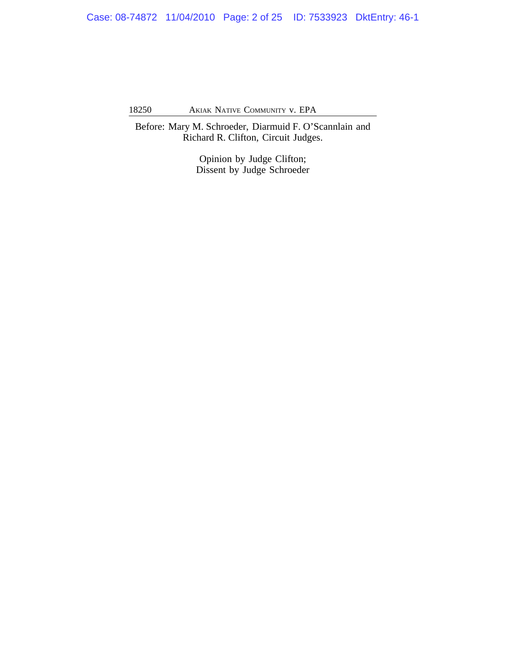Before: Mary M. Schroeder, Diarmuid F. O'Scannlain and Richard R. Clifton, Circuit Judges.

> Opinion by Judge Clifton; Dissent by Judge Schroeder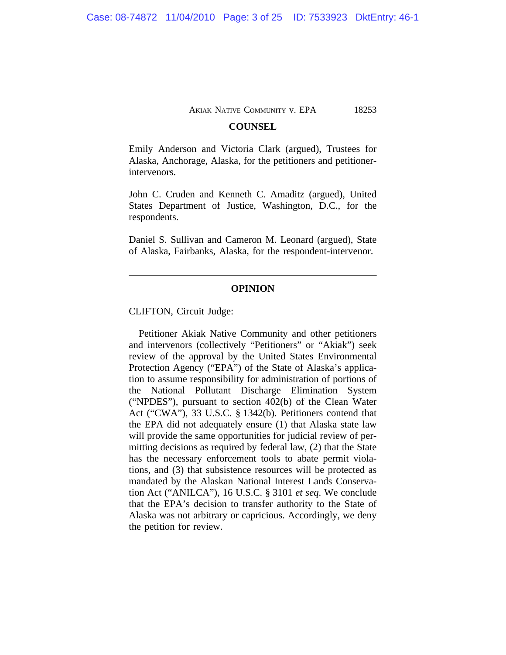### **COUNSEL**

Emily Anderson and Victoria Clark (argued), Trustees for Alaska, Anchorage, Alaska, for the petitioners and petitionerintervenors.

John C. Cruden and Kenneth C. Amaditz (argued), United States Department of Justice, Washington, D.C., for the respondents.

Daniel S. Sullivan and Cameron M. Leonard (argued), State of Alaska, Fairbanks, Alaska, for the respondent-intervenor.

## **OPINION**

CLIFTON, Circuit Judge:

Petitioner Akiak Native Community and other petitioners and intervenors (collectively "Petitioners" or "Akiak") seek review of the approval by the United States Environmental Protection Agency ("EPA") of the State of Alaska's application to assume responsibility for administration of portions of the National Pollutant Discharge Elimination System ("NPDES"), pursuant to section 402(b) of the Clean Water Act ("CWA"), 33 U.S.C. § 1342(b). Petitioners contend that the EPA did not adequately ensure (1) that Alaska state law will provide the same opportunities for judicial review of permitting decisions as required by federal law, (2) that the State has the necessary enforcement tools to abate permit violations, and (3) that subsistence resources will be protected as mandated by the Alaskan National Interest Lands Conservation Act ("ANILCA"), 16 U.S.C. § 3101 *et seq*. We conclude that the EPA's decision to transfer authority to the State of Alaska was not arbitrary or capricious. Accordingly, we deny the petition for review.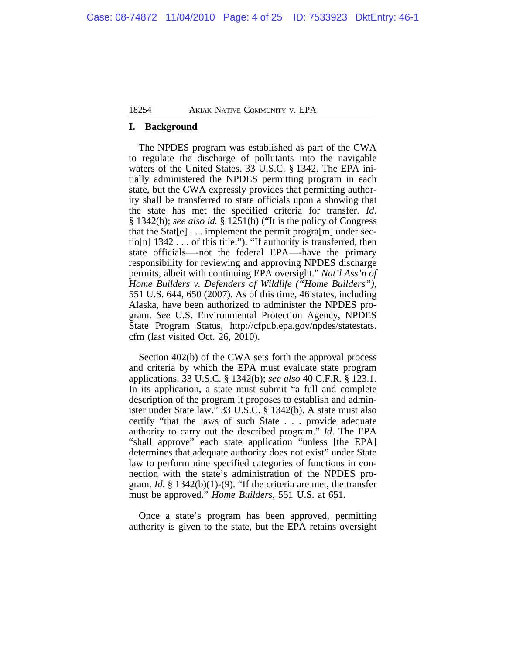## **I. Background**

The NPDES program was established as part of the CWA to regulate the discharge of pollutants into the navigable waters of the United States. 33 U.S.C. § 1342. The EPA initially administered the NPDES permitting program in each state, but the CWA expressly provides that permitting authority shall be transferred to state officials upon a showing that the state has met the specified criteria for transfer. *Id*. § 1342(b); *see also id.* § 1251(b) ("It is the policy of Congress that the Stat[e] . . . implement the permit progra[m] under sectio[n] 1342 . . . of this title."). "If authority is transferred, then state officials—-not the federal EPA—-have the primary responsibility for reviewing and approving NPDES discharge permits, albeit with continuing EPA oversight." *Nat'l Ass'n of Home Builders v. Defenders of Wildlife ("Home Builders")*, 551 U.S. 644, 650 (2007). As of this time, 46 states, including Alaska, have been authorized to administer the NPDES program. *See* U.S. Environmental Protection Agency, NPDES State Program Status, http://cfpub.epa.gov/npdes/statestats. cfm (last visited Oct. 26, 2010).

Section 402(b) of the CWA sets forth the approval process and criteria by which the EPA must evaluate state program applications. 33 U.S.C. § 1342(b); *see also* 40 C.F.R. § 123.1. In its application, a state must submit "a full and complete description of the program it proposes to establish and administer under State law." 33 U.S.C. § 1342(b). A state must also certify "that the laws of such State . . . provide adequate authority to carry out the described program." *Id*. The EPA "shall approve" each state application "unless [the EPA] determines that adequate authority does not exist" under State law to perform nine specified categories of functions in connection with the state's administration of the NPDES program. *Id*. § 1342(b)(1)-(9). "If the criteria are met, the transfer must be approved." *Home Builders*, 551 U.S. at 651.

Once a state's program has been approved, permitting authority is given to the state, but the EPA retains oversight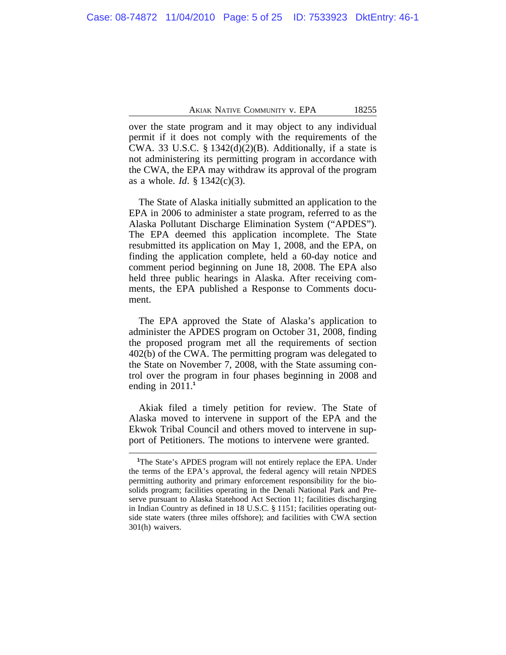over the state program and it may object to any individual permit if it does not comply with the requirements of the CWA. 33 U.S.C.  $\S 1342(d)(2)(B)$ . Additionally, if a state is not administering its permitting program in accordance with the CWA, the EPA may withdraw its approval of the program as a whole. *Id*. § 1342(c)(3).

The State of Alaska initially submitted an application to the EPA in 2006 to administer a state program, referred to as the Alaska Pollutant Discharge Elimination System ("APDES"). The EPA deemed this application incomplete. The State resubmitted its application on May 1, 2008, and the EPA, on finding the application complete, held a 60-day notice and comment period beginning on June 18, 2008. The EPA also held three public hearings in Alaska. After receiving comments, the EPA published a Response to Comments document.

The EPA approved the State of Alaska's application to administer the APDES program on October 31, 2008, finding the proposed program met all the requirements of section 402(b) of the CWA. The permitting program was delegated to the State on November 7, 2008, with the State assuming control over the program in four phases beginning in 2008 and ending in 2011.**<sup>1</sup>**

Akiak filed a timely petition for review. The State of Alaska moved to intervene in support of the EPA and the Ekwok Tribal Council and others moved to intervene in support of Petitioners. The motions to intervene were granted.

**<sup>1</sup>**The State's APDES program will not entirely replace the EPA. Under the terms of the EPA's approval, the federal agency will retain NPDES permitting authority and primary enforcement responsibility for the biosolids program; facilities operating in the Denali National Park and Preserve pursuant to Alaska Statehood Act Section 11; facilities discharging in Indian Country as defined in 18 U.S.C. § 1151; facilities operating outside state waters (three miles offshore); and facilities with CWA section 301(h) waivers.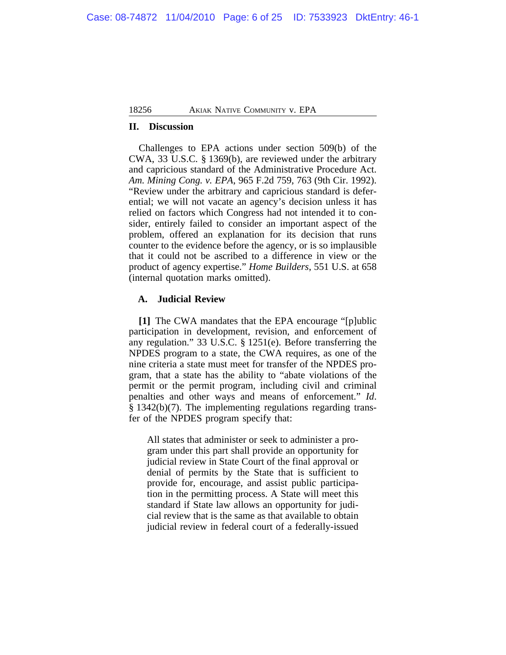## **II. Discussion**

Challenges to EPA actions under section 509(b) of the CWA, 33 U.S.C. § 1369(b), are reviewed under the arbitrary and capricious standard of the Administrative Procedure Act. *Am. Mining Cong. v. EPA*, 965 F.2d 759, 763 (9th Cir. 1992). "Review under the arbitrary and capricious standard is deferential; we will not vacate an agency's decision unless it has relied on factors which Congress had not intended it to consider, entirely failed to consider an important aspect of the problem, offered an explanation for its decision that runs counter to the evidence before the agency, or is so implausible that it could not be ascribed to a difference in view or the product of agency expertise." *Home Builders*, 551 U.S. at 658 (internal quotation marks omitted).

## **A. Judicial Review**

**[1]** The CWA mandates that the EPA encourage "[p]ublic participation in development, revision, and enforcement of any regulation." 33 U.S.C. § 1251(e). Before transferring the NPDES program to a state, the CWA requires, as one of the nine criteria a state must meet for transfer of the NPDES program, that a state has the ability to "abate violations of the permit or the permit program, including civil and criminal penalties and other ways and means of enforcement." *Id*. § 1342(b)(7). The implementing regulations regarding transfer of the NPDES program specify that:

All states that administer or seek to administer a program under this part shall provide an opportunity for judicial review in State Court of the final approval or denial of permits by the State that is sufficient to provide for, encourage, and assist public participation in the permitting process. A State will meet this standard if State law allows an opportunity for judicial review that is the same as that available to obtain judicial review in federal court of a federally-issued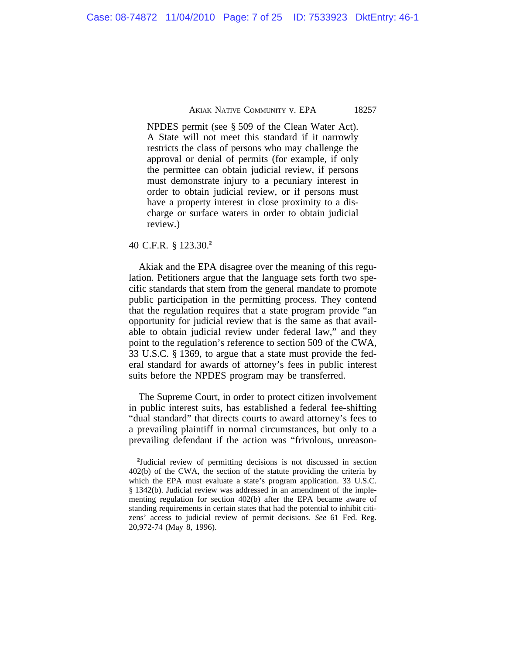NPDES permit (see § 509 of the Clean Water Act). A State will not meet this standard if it narrowly restricts the class of persons who may challenge the approval or denial of permits (for example, if only the permittee can obtain judicial review, if persons must demonstrate injury to a pecuniary interest in order to obtain judicial review, or if persons must have a property interest in close proximity to a discharge or surface waters in order to obtain judicial review.)

## 40 C.F.R. § 123.30.**<sup>2</sup>**

Akiak and the EPA disagree over the meaning of this regulation. Petitioners argue that the language sets forth two specific standards that stem from the general mandate to promote public participation in the permitting process. They contend that the regulation requires that a state program provide "an opportunity for judicial review that is the same as that available to obtain judicial review under federal law," and they point to the regulation's reference to section 509 of the CWA, 33 U.S.C. § 1369, to argue that a state must provide the federal standard for awards of attorney's fees in public interest suits before the NPDES program may be transferred.

The Supreme Court, in order to protect citizen involvement in public interest suits, has established a federal fee-shifting "dual standard" that directs courts to award attorney's fees to a prevailing plaintiff in normal circumstances, but only to a prevailing defendant if the action was "frivolous, unreason-

**<sup>2</sup>** Judicial review of permitting decisions is not discussed in section 402(b) of the CWA, the section of the statute providing the criteria by which the EPA must evaluate a state's program application. 33 U.S.C. § 1342(b). Judicial review was addressed in an amendment of the implementing regulation for section 402(b) after the EPA became aware of standing requirements in certain states that had the potential to inhibit citizens' access to judicial review of permit decisions. *See* 61 Fed. Reg. 20,972-74 (May 8, 1996).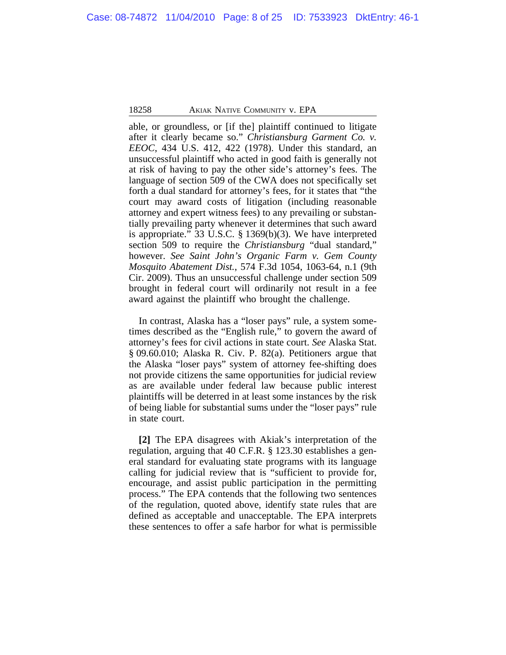able, or groundless, or [if the] plaintiff continued to litigate after it clearly became so." *Christiansburg Garment Co. v. EEOC*, 434 U.S. 412, 422 (1978). Under this standard, an unsuccessful plaintiff who acted in good faith is generally not at risk of having to pay the other side's attorney's fees. The language of section 509 of the CWA does not specifically set forth a dual standard for attorney's fees, for it states that "the court may award costs of litigation (including reasonable attorney and expert witness fees) to any prevailing or substantially prevailing party whenever it determines that such award is appropriate." 33 U.S.C. § 1369(b)(3). We have interpreted section 509 to require the *Christiansburg* "dual standard," however. *See Saint John's Organic Farm v. Gem County Mosquito Abatement Dist.*, 574 F.3d 1054, 1063-64, n.1 (9th Cir. 2009). Thus an unsuccessful challenge under section 509 brought in federal court will ordinarily not result in a fee award against the plaintiff who brought the challenge.

In contrast, Alaska has a "loser pays" rule, a system sometimes described as the "English rule," to govern the award of attorney's fees for civil actions in state court. *See* Alaska Stat. § 09.60.010; Alaska R. Civ. P. 82(a). Petitioners argue that the Alaska "loser pays" system of attorney fee-shifting does not provide citizens the same opportunities for judicial review as are available under federal law because public interest plaintiffs will be deterred in at least some instances by the risk of being liable for substantial sums under the "loser pays" rule in state court.

**[2]** The EPA disagrees with Akiak's interpretation of the regulation, arguing that 40 C.F.R. § 123.30 establishes a general standard for evaluating state programs with its language calling for judicial review that is "sufficient to provide for, encourage, and assist public participation in the permitting process." The EPA contends that the following two sentences of the regulation, quoted above, identify state rules that are defined as acceptable and unacceptable. The EPA interprets these sentences to offer a safe harbor for what is permissible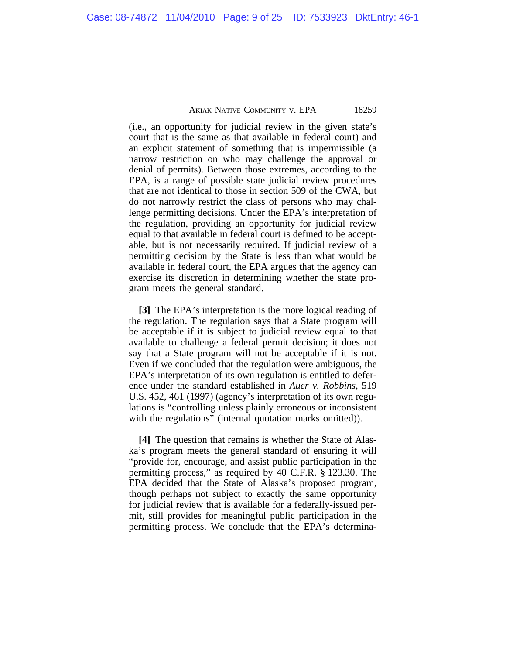(i.e., an opportunity for judicial review in the given state's court that is the same as that available in federal court) and an explicit statement of something that is impermissible (a narrow restriction on who may challenge the approval or denial of permits). Between those extremes, according to the EPA, is a range of possible state judicial review procedures that are not identical to those in section 509 of the CWA, but do not narrowly restrict the class of persons who may challenge permitting decisions. Under the EPA's interpretation of the regulation, providing an opportunity for judicial review equal to that available in federal court is defined to be acceptable, but is not necessarily required. If judicial review of a permitting decision by the State is less than what would be available in federal court, the EPA argues that the agency can exercise its discretion in determining whether the state program meets the general standard.

**[3]** The EPA's interpretation is the more logical reading of the regulation. The regulation says that a State program will be acceptable if it is subject to judicial review equal to that available to challenge a federal permit decision; it does not say that a State program will not be acceptable if it is not. Even if we concluded that the regulation were ambiguous, the EPA's interpretation of its own regulation is entitled to deference under the standard established in *Auer v. Robbins*, 519 U.S. 452, 461 (1997) (agency's interpretation of its own regulations is "controlling unless plainly erroneous or inconsistent with the regulations" (internal quotation marks omitted)).

**[4]** The question that remains is whether the State of Alaska's program meets the general standard of ensuring it will "provide for, encourage, and assist public participation in the permitting process," as required by 40 C.F.R. § 123.30. The EPA decided that the State of Alaska's proposed program, though perhaps not subject to exactly the same opportunity for judicial review that is available for a federally-issued permit, still provides for meaningful public participation in the permitting process. We conclude that the EPA's determina-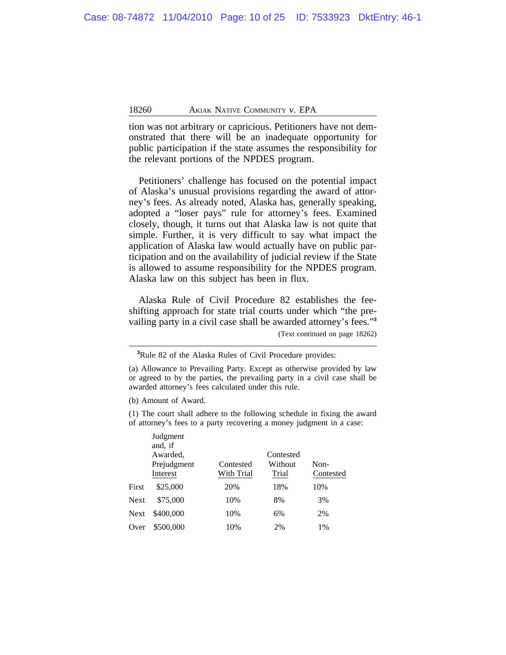tion was not arbitrary or capricious. Petitioners have not demonstrated that there will be an inadequate opportunity for public participation if the state assumes the responsibility for the relevant portions of the NPDES program.

Petitioners' challenge has focused on the potential impact of Alaska's unusual provisions regarding the award of attorney's fees. As already noted, Alaska has, generally speaking, adopted a "loser pays" rule for attorney's fees. Examined closely, though, it turns out that Alaska law is not quite that simple. Further, it is very difficult to say what impact the application of Alaska law would actually have on public participation and on the availability of judicial review if the State is allowed to assume responsibility for the NPDES program. Alaska law on this subject has been in flux.

Alaska Rule of Civil Procedure 82 establishes the feeshifting approach for state trial courts under which "the prevailing party in a civil case shall be awarded attorney's fees." **3**

(Text continued on page 18262)

(b) Amount of Award.

(1) The court shall adhere to the following schedule in fixing the award of attorney's fees to a party recovering a money judgment in a case:

|       | Judgment<br>and, if<br>Awarded,<br>Prejudgment<br>Interest | Contested<br>With Trial | Contested<br>Without<br>Trial | Non-<br>Contested |
|-------|------------------------------------------------------------|-------------------------|-------------------------------|-------------------|
| First | \$25,000                                                   | 20%                     | 18%                           | 10%               |
| Next  | \$75,000                                                   | 10%                     | 8%                            | 3%                |
| Next  | \$400,000                                                  | 10%                     | 6%                            | 2%                |
| Over  | \$500,000                                                  | 10%                     | 2%                            | 1%                |

**<sup>3</sup>**Rule 82 of the Alaska Rules of Civil Procedure provides:

<sup>(</sup>a) Allowance to Prevailing Party. Except as otherwise provided by law or agreed to by the parties, the prevailing party in a civil case shall be awarded attorney's fees calculated under this rule.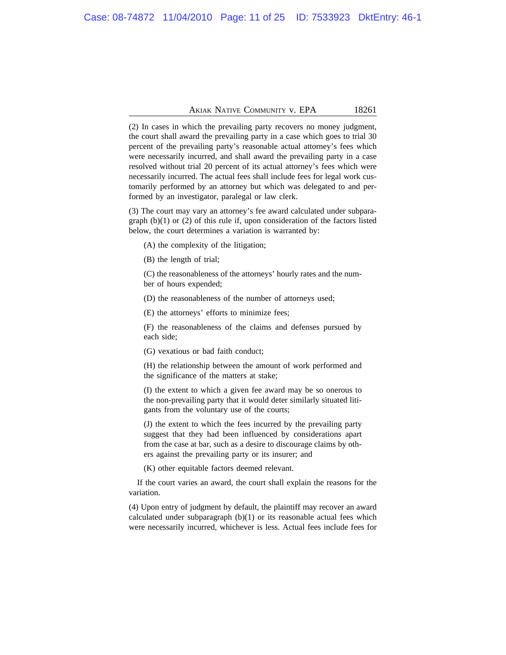(2) In cases in which the prevailing party recovers no money judgment, the court shall award the prevailing party in a case which goes to trial 30 percent of the prevailing party's reasonable actual attorney's fees which were necessarily incurred, and shall award the prevailing party in a case resolved without trial 20 percent of its actual attorney's fees which were necessarily incurred. The actual fees shall include fees for legal work customarily performed by an attorney but which was delegated to and performed by an investigator, paralegal or law clerk.

(3) The court may vary an attorney's fee award calculated under subparagraph  $(b)(1)$  or  $(2)$  of this rule if, upon consideration of the factors listed below, the court determines a variation is warranted by:

- (A) the complexity of the litigation;
- (B) the length of trial;

(C) the reasonableness of the attorneys' hourly rates and the number of hours expended;

(D) the reasonableness of the number of attorneys used;

(E) the attorneys' efforts to minimize fees;

(F) the reasonableness of the claims and defenses pursued by each side;

(G) vexatious or bad faith conduct;

(H) the relationship between the amount of work performed and the significance of the matters at stake;

(I) the extent to which a given fee award may be so onerous to the non-prevailing party that it would deter similarly situated litigants from the voluntary use of the courts;

(J) the extent to which the fees incurred by the prevailing party suggest that they had been influenced by considerations apart from the case at bar, such as a desire to discourage claims by others against the prevailing party or its insurer; and

(K) other equitable factors deemed relevant.

If the court varies an award, the court shall explain the reasons for the variation.

(4) Upon entry of judgment by default, the plaintiff may recover an award calculated under subparagraph  $(b)(1)$  or its reasonable actual fees which were necessarily incurred, whichever is less. Actual fees include fees for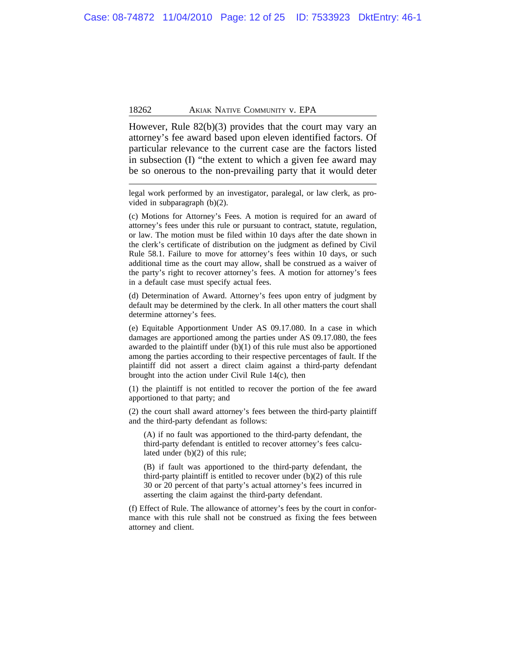However, Rule 82(b)(3) provides that the court may vary an attorney's fee award based upon eleven identified factors. Of particular relevance to the current case are the factors listed in subsection (I) "the extent to which a given fee award may be so onerous to the non-prevailing party that it would deter

legal work performed by an investigator, paralegal, or law clerk, as provided in subparagraph (b)(2).

(c) Motions for Attorney's Fees. A motion is required for an award of attorney's fees under this rule or pursuant to contract, statute, regulation, or law. The motion must be filed within 10 days after the date shown in the clerk's certificate of distribution on the judgment as defined by Civil Rule 58.1. Failure to move for attorney's fees within 10 days, or such additional time as the court may allow, shall be construed as a waiver of the party's right to recover attorney's fees. A motion for attorney's fees in a default case must specify actual fees.

(d) Determination of Award. Attorney's fees upon entry of judgment by default may be determined by the clerk. In all other matters the court shall determine attorney's fees.

(e) Equitable Apportionment Under AS 09.17.080. In a case in which damages are apportioned among the parties under AS 09.17.080, the fees awarded to the plaintiff under  $(b)(1)$  of this rule must also be apportioned among the parties according to their respective percentages of fault. If the plaintiff did not assert a direct claim against a third-party defendant brought into the action under Civil Rule 14(c), then

(1) the plaintiff is not entitled to recover the portion of the fee award apportioned to that party; and

(2) the court shall award attorney's fees between the third-party plaintiff and the third-party defendant as follows:

(A) if no fault was apportioned to the third-party defendant, the third-party defendant is entitled to recover attorney's fees calculated under (b)(2) of this rule;

(B) if fault was apportioned to the third-party defendant, the third-party plaintiff is entitled to recover under (b)(2) of this rule 30 or 20 percent of that party's actual attorney's fees incurred in asserting the claim against the third-party defendant.

(f) Effect of Rule. The allowance of attorney's fees by the court in conformance with this rule shall not be construed as fixing the fees between attorney and client.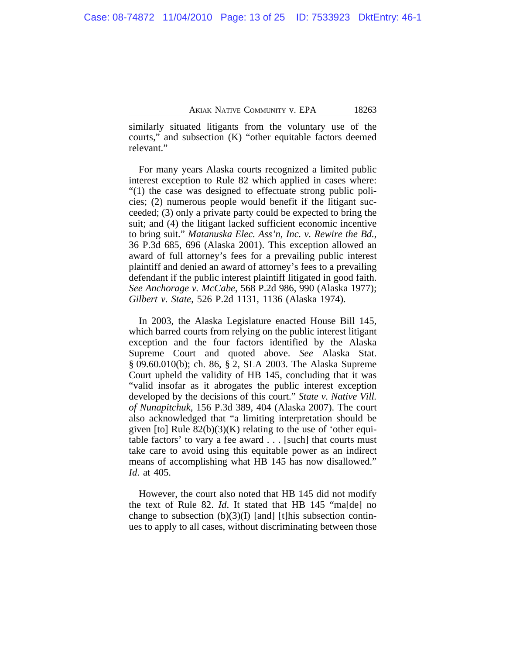similarly situated litigants from the voluntary use of the courts," and subsection (K) "other equitable factors deemed relevant."

For many years Alaska courts recognized a limited public interest exception to Rule 82 which applied in cases where: "(1) the case was designed to effectuate strong public policies; (2) numerous people would benefit if the litigant succeeded; (3) only a private party could be expected to bring the suit; and (4) the litigant lacked sufficient economic incentive to bring suit." *Matanuska Elec. Ass'n, Inc. v. Rewire the Bd.*, 36 P.3d 685, 696 (Alaska 2001). This exception allowed an award of full attorney's fees for a prevailing public interest plaintiff and denied an award of attorney's fees to a prevailing defendant if the public interest plaintiff litigated in good faith. *See Anchorage v. McCabe*, 568 P.2d 986, 990 (Alaska 1977); *Gilbert v. State*, 526 P.2d 1131, 1136 (Alaska 1974).

In 2003, the Alaska Legislature enacted House Bill 145, which barred courts from relying on the public interest litigant exception and the four factors identified by the Alaska Supreme Court and quoted above. *See* Alaska Stat. § 09.60.010(b); ch. 86, § 2, SLA 2003. The Alaska Supreme Court upheld the validity of HB 145, concluding that it was "valid insofar as it abrogates the public interest exception developed by the decisions of this court." *State v. Native Vill. of Nunapitchuk*, 156 P.3d 389, 404 (Alaska 2007). The court also acknowledged that "a limiting interpretation should be given [to] Rule  $82(b)(3)(K)$  relating to the use of 'other equitable factors' to vary a fee award . . . [such] that courts must take care to avoid using this equitable power as an indirect means of accomplishing what HB 145 has now disallowed." *Id*. at 405.

However, the court also noted that HB 145 did not modify the text of Rule 82. *Id*. It stated that HB 145 "ma[de] no change to subsection  $(b)(3)(I)$  [and] [t]his subsection continues to apply to all cases, without discriminating between those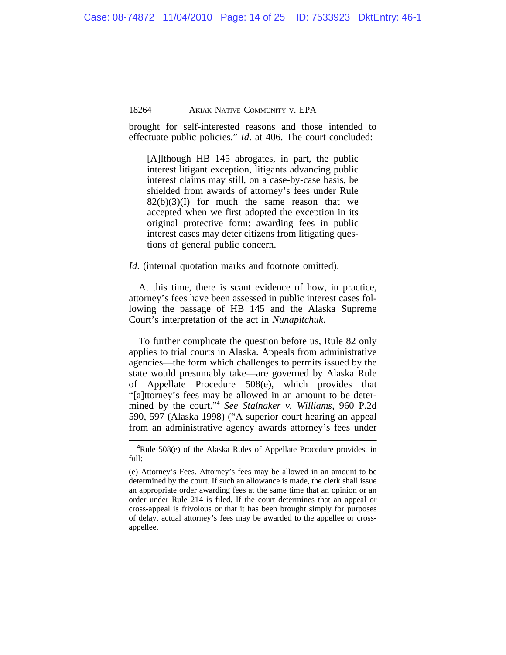brought for self-interested reasons and those intended to effectuate public policies." *Id*. at 406. The court concluded:

[A]lthough HB 145 abrogates, in part, the public interest litigant exception, litigants advancing public interest claims may still, on a case-by-case basis, be shielded from awards of attorney's fees under Rule  $82(b)(3)(1)$  for much the same reason that we accepted when we first adopted the exception in its original protective form: awarding fees in public interest cases may deter citizens from litigating questions of general public concern.

#### *Id.* (internal quotation marks and footnote omitted).

At this time, there is scant evidence of how, in practice, attorney's fees have been assessed in public interest cases following the passage of HB 145 and the Alaska Supreme Court's interpretation of the act in *Nunapitchuk*.

To further complicate the question before us, Rule 82 only applies to trial courts in Alaska. Appeals from administrative agencies—the form which challenges to permits issued by the state would presumably take—are governed by Alaska Rule of Appellate Procedure 508(e), which provides that "[a]ttorney's fees may be allowed in an amount to be determined by the court." **4** *See Stalnaker v. Williams*, 960 P.2d 590, 597 (Alaska 1998) ("A superior court hearing an appeal from an administrative agency awards attorney's fees under

**<sup>4</sup>**Rule 508(e) of the Alaska Rules of Appellate Procedure provides, in full:

<sup>(</sup>e) Attorney's Fees. Attorney's fees may be allowed in an amount to be determined by the court. If such an allowance is made, the clerk shall issue an appropriate order awarding fees at the same time that an opinion or an order under Rule 214 is filed. If the court determines that an appeal or cross-appeal is frivolous or that it has been brought simply for purposes of delay, actual attorney's fees may be awarded to the appellee or crossappellee.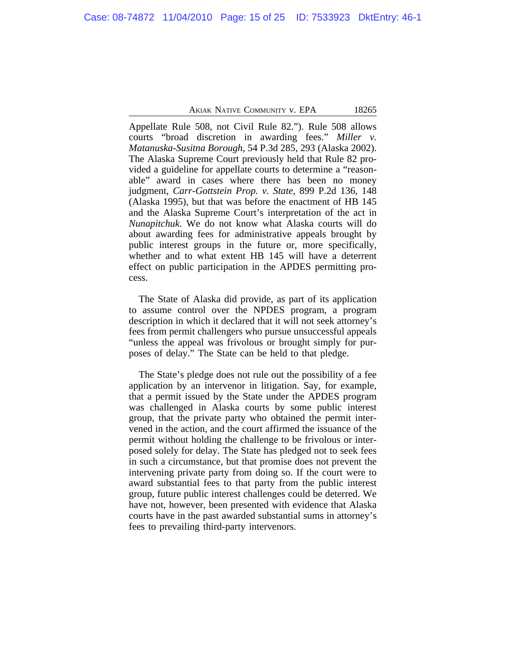Appellate Rule 508, not Civil Rule 82."). Rule 508 allows courts "broad discretion in awarding fees." *Miller v. Matanuska-Susitna Borough*, 54 P.3d 285, 293 (Alaska 2002). The Alaska Supreme Court previously held that Rule 82 provided a guideline for appellate courts to determine a "reasonable" award in cases where there has been no money judgment, *Carr-Gottstein Prop. v. State*, 899 P.2d 136, 148 (Alaska 1995), but that was before the enactment of HB 145 and the Alaska Supreme Court's interpretation of the act in *Nunapitchuk*. We do not know what Alaska courts will do about awarding fees for administrative appeals brought by public interest groups in the future or, more specifically, whether and to what extent HB 145 will have a deterrent effect on public participation in the APDES permitting process.

The State of Alaska did provide, as part of its application to assume control over the NPDES program, a program description in which it declared that it will not seek attorney's fees from permit challengers who pursue unsuccessful appeals "unless the appeal was frivolous or brought simply for purposes of delay." The State can be held to that pledge.

The State's pledge does not rule out the possibility of a fee application by an intervenor in litigation. Say, for example, that a permit issued by the State under the APDES program was challenged in Alaska courts by some public interest group, that the private party who obtained the permit intervened in the action, and the court affirmed the issuance of the permit without holding the challenge to be frivolous or interposed solely for delay. The State has pledged not to seek fees in such a circumstance, but that promise does not prevent the intervening private party from doing so. If the court were to award substantial fees to that party from the public interest group, future public interest challenges could be deterred. We have not, however, been presented with evidence that Alaska courts have in the past awarded substantial sums in attorney's fees to prevailing third-party intervenors.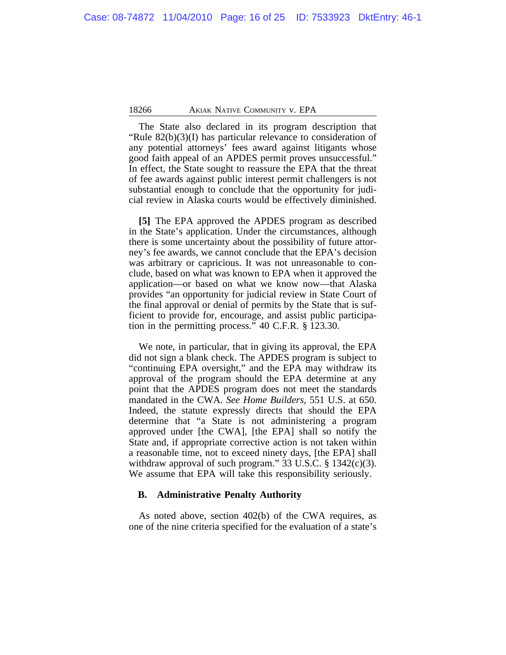The State also declared in its program description that "Rule 82(b)(3)(I) has particular relevance to consideration of any potential attorneys' fees award against litigants whose good faith appeal of an APDES permit proves unsuccessful." In effect, the State sought to reassure the EPA that the threat of fee awards against public interest permit challengers is not substantial enough to conclude that the opportunity for judicial review in Alaska courts would be effectively diminished.

**[5]** The EPA approved the APDES program as described in the State's application. Under the circumstances, although there is some uncertainty about the possibility of future attorney's fee awards, we cannot conclude that the EPA's decision was arbitrary or capricious. It was not unreasonable to conclude, based on what was known to EPA when it approved the application—or based on what we know now—that Alaska provides "an opportunity for judicial review in State Court of the final approval or denial of permits by the State that is sufficient to provide for, encourage, and assist public participation in the permitting process." 40 C.F.R. § 123.30.

We note, in particular, that in giving its approval, the EPA did not sign a blank check. The APDES program is subject to "continuing EPA oversight," and the EPA may withdraw its approval of the program should the EPA determine at any point that the APDES program does not meet the standards mandated in the CWA. *See Home Builders*, 551 U.S. at 650. Indeed, the statute expressly directs that should the EPA determine that "a State is not administering a program approved under [the CWA], [the EPA] shall so notify the State and, if appropriate corrective action is not taken within a reasonable time, not to exceed ninety days, [the EPA] shall withdraw approval of such program." 33 U.S.C. § 1342(c)(3). We assume that EPA will take this responsibility seriously.

## **B. Administrative Penalty Authority**

As noted above, section 402(b) of the CWA requires, as one of the nine criteria specified for the evaluation of a state's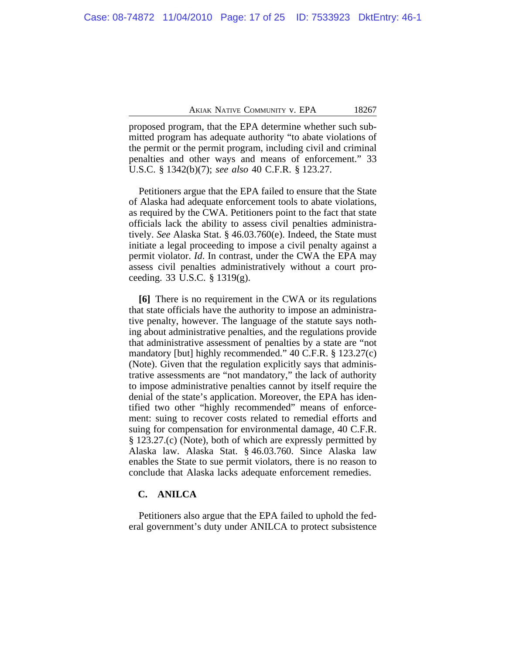proposed program, that the EPA determine whether such submitted program has adequate authority "to abate violations of the permit or the permit program, including civil and criminal penalties and other ways and means of enforcement." 33 U.S.C. § 1342(b)(7); *see also* 40 C.F.R. § 123.27.

Petitioners argue that the EPA failed to ensure that the State of Alaska had adequate enforcement tools to abate violations, as required by the CWA. Petitioners point to the fact that state officials lack the ability to assess civil penalties administratively. *See* Alaska Stat. § 46.03.760(e). Indeed, the State must initiate a legal proceeding to impose a civil penalty against a permit violator. *Id*. In contrast, under the CWA the EPA may assess civil penalties administratively without a court proceeding. 33 U.S.C. § 1319(g).

**[6]** There is no requirement in the CWA or its regulations that state officials have the authority to impose an administrative penalty, however. The language of the statute says nothing about administrative penalties, and the regulations provide that administrative assessment of penalties by a state are "not mandatory [but] highly recommended." 40 C.F.R. § 123.27(c) (Note). Given that the regulation explicitly says that administrative assessments are "not mandatory," the lack of authority to impose administrative penalties cannot by itself require the denial of the state's application. Moreover, the EPA has identified two other "highly recommended" means of enforcement: suing to recover costs related to remedial efforts and suing for compensation for environmental damage, 40 C.F.R. § 123.27.(c) (Note), both of which are expressly permitted by Alaska law. Alaska Stat. § 46.03.760. Since Alaska law enables the State to sue permit violators, there is no reason to conclude that Alaska lacks adequate enforcement remedies.

## **C. ANILCA**

Petitioners also argue that the EPA failed to uphold the federal government's duty under ANILCA to protect subsistence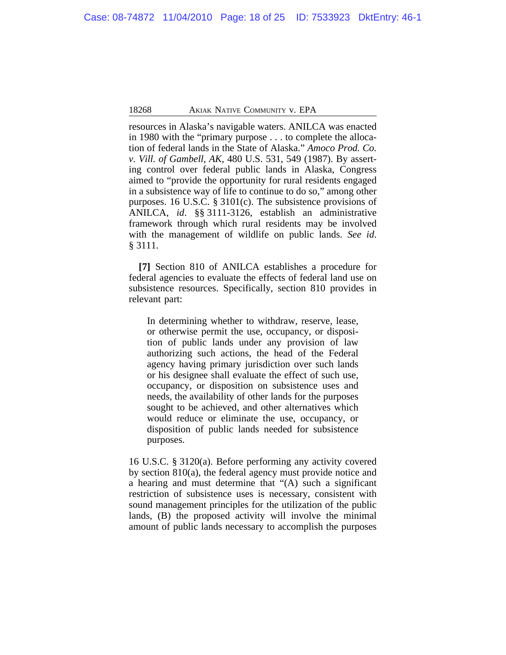resources in Alaska's navigable waters. ANILCA was enacted in 1980 with the "primary purpose . . . to complete the allocation of federal lands in the State of Alaska." *Amoco Prod. Co. v. Vill. of Gambell, AK*, 480 U.S. 531, 549 (1987). By asserting control over federal public lands in Alaska, Congress aimed to "provide the opportunity for rural residents engaged in a subsistence way of life to continue to do so," among other purposes. 16 U.S.C. § 3101(c). The subsistence provisions of ANILCA, *id*. §§ 3111-3126, establish an administrative framework through which rural residents may be involved with the management of wildlife on public lands. *See id*. § 3111.

**[7]** Section 810 of ANILCA establishes a procedure for federal agencies to evaluate the effects of federal land use on subsistence resources. Specifically, section 810 provides in relevant part:

In determining whether to withdraw, reserve, lease, or otherwise permit the use, occupancy, or disposition of public lands under any provision of law authorizing such actions, the head of the Federal agency having primary jurisdiction over such lands or his designee shall evaluate the effect of such use, occupancy, or disposition on subsistence uses and needs, the availability of other lands for the purposes sought to be achieved, and other alternatives which would reduce or eliminate the use, occupancy, or disposition of public lands needed for subsistence purposes.

16 U.S.C. § 3120(a). Before performing any activity covered by section 810(a), the federal agency must provide notice and a hearing and must determine that "(A) such a significant restriction of subsistence uses is necessary, consistent with sound management principles for the utilization of the public lands, (B) the proposed activity will involve the minimal amount of public lands necessary to accomplish the purposes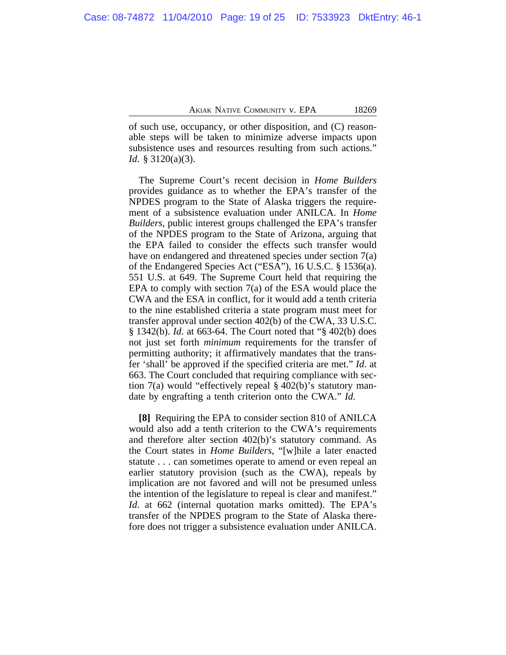of such use, occupancy, or other disposition, and (C) reasonable steps will be taken to minimize adverse impacts upon subsistence uses and resources resulting from such actions." *Id.* § 3120(a)(3).

The Supreme Court's recent decision in *Home Builders* provides guidance as to whether the EPA's transfer of the NPDES program to the State of Alaska triggers the requirement of a subsistence evaluation under ANILCA. In *Home Builders*, public interest groups challenged the EPA's transfer of the NPDES program to the State of Arizona, arguing that the EPA failed to consider the effects such transfer would have on endangered and threatened species under section 7(a) of the Endangered Species Act ("ESA"), 16 U.S.C. § 1536(a). 551 U.S. at 649. The Supreme Court held that requiring the EPA to comply with section 7(a) of the ESA would place the CWA and the ESA in conflict, for it would add a tenth criteria to the nine established criteria a state program must meet for transfer approval under section 402(b) of the CWA, 33 U.S.C. § 1342(b). *Id*. at 663-64. The Court noted that "§ 402(b) does not just set forth *minimum* requirements for the transfer of permitting authority; it affirmatively mandates that the transfer 'shall' be approved if the specified criteria are met." *Id*. at 663. The Court concluded that requiring compliance with section 7(a) would "effectively repeal § 402(b)'s statutory mandate by engrafting a tenth criterion onto the CWA." *Id*.

**[8]** Requiring the EPA to consider section 810 of ANILCA would also add a tenth criterion to the CWA's requirements and therefore alter section 402(b)'s statutory command. As the Court states in *Home Builders*, "[w]hile a later enacted statute . . . can sometimes operate to amend or even repeal an earlier statutory provision (such as the CWA), repeals by implication are not favored and will not be presumed unless the intention of the legislature to repeal is clear and manifest." *Id*. at 662 (internal quotation marks omitted). The EPA's transfer of the NPDES program to the State of Alaska therefore does not trigger a subsistence evaluation under ANILCA.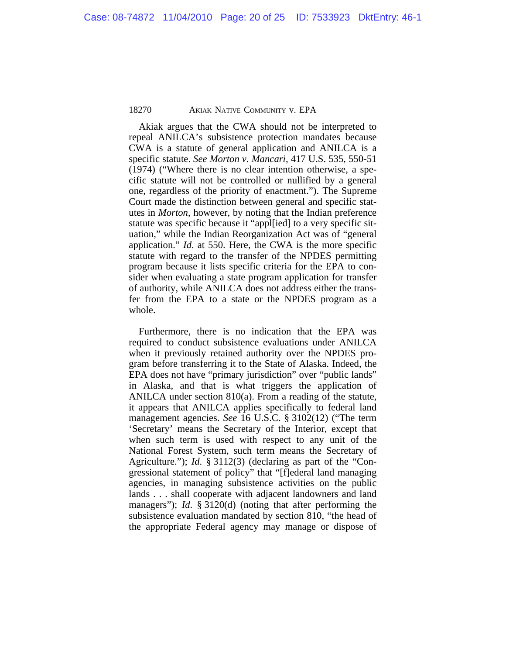Akiak argues that the CWA should not be interpreted to repeal ANILCA's subsistence protection mandates because CWA is a statute of general application and ANILCA is a specific statute. *See Morton v. Mancari*, 417 U.S. 535, 550-51 (1974) ("Where there is no clear intention otherwise, a specific statute will not be controlled or nullified by a general one, regardless of the priority of enactment."). The Supreme Court made the distinction between general and specific statutes in *Morton*, however, by noting that the Indian preference statute was specific because it "appl[ied] to a very specific situation," while the Indian Reorganization Act was of "general application." *Id*. at 550. Here, the CWA is the more specific statute with regard to the transfer of the NPDES permitting program because it lists specific criteria for the EPA to consider when evaluating a state program application for transfer of authority, while ANILCA does not address either the transfer from the EPA to a state or the NPDES program as a whole.

Furthermore, there is no indication that the EPA was required to conduct subsistence evaluations under ANILCA when it previously retained authority over the NPDES program before transferring it to the State of Alaska. Indeed, the EPA does not have "primary jurisdiction" over "public lands" in Alaska, and that is what triggers the application of ANILCA under section 810(a). From a reading of the statute, it appears that ANILCA applies specifically to federal land management agencies. *See* 16 U.S.C. § 3102(12) ("The term 'Secretary' means the Secretary of the Interior, except that when such term is used with respect to any unit of the National Forest System, such term means the Secretary of Agriculture."); *Id*. § 3112(3) (declaring as part of the "Congressional statement of policy" that "[f]ederal land managing agencies, in managing subsistence activities on the public lands . . . shall cooperate with adjacent landowners and land managers"); *Id.* § 3120(d) (noting that after performing the subsistence evaluation mandated by section 810, "the head of the appropriate Federal agency may manage or dispose of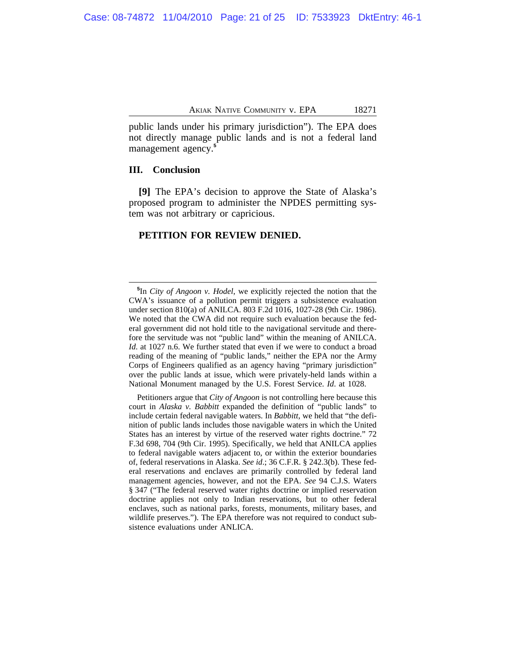public lands under his primary jurisdiction"). The EPA does not directly manage public lands and is not a federal land management agency.**<sup>5</sup>**

## **III. Conclusion**

**[9]** The EPA's decision to approve the State of Alaska's proposed program to administer the NPDES permitting system was not arbitrary or capricious.

### **PETITION FOR REVIEW DENIED.**

**<sup>5</sup>** In *City of Angoon v. Hodel*, we explicitly rejected the notion that the CWA's issuance of a pollution permit triggers a subsistence evaluation under section 810(a) of ANILCA. 803 F.2d 1016, 1027-28 (9th Cir. 1986). We noted that the CWA did not require such evaluation because the federal government did not hold title to the navigational servitude and therefore the servitude was not "public land" within the meaning of ANILCA. *Id.* at 1027 n.6. We further stated that even if we were to conduct a broad reading of the meaning of "public lands," neither the EPA nor the Army Corps of Engineers qualified as an agency having "primary jurisdiction" over the public lands at issue, which were privately-held lands within a National Monument managed by the U.S. Forest Service. *Id*. at 1028.

Petitioners argue that *City of Angoon* is not controlling here because this court in *Alaska v. Babbitt* expanded the definition of "public lands" to include certain federal navigable waters. In *Babbitt*, we held that "the definition of public lands includes those navigable waters in which the United States has an interest by virtue of the reserved water rights doctrine." 72 F.3d 698, 704 (9th Cir. 1995). Specifically, we held that ANILCA applies to federal navigable waters adjacent to, or within the exterior boundaries of, federal reservations in Alaska. *See id*.; 36 C.F.R. § 242.3(b). These federal reservations and enclaves are primarily controlled by federal land management agencies, however, and not the EPA. *See* 94 C.J.S. Waters § 347 ("The federal reserved water rights doctrine or implied reservation doctrine applies not only to Indian reservations, but to other federal enclaves, such as national parks, forests, monuments, military bases, and wildlife preserves."). The EPA therefore was not required to conduct subsistence evaluations under ANLICA.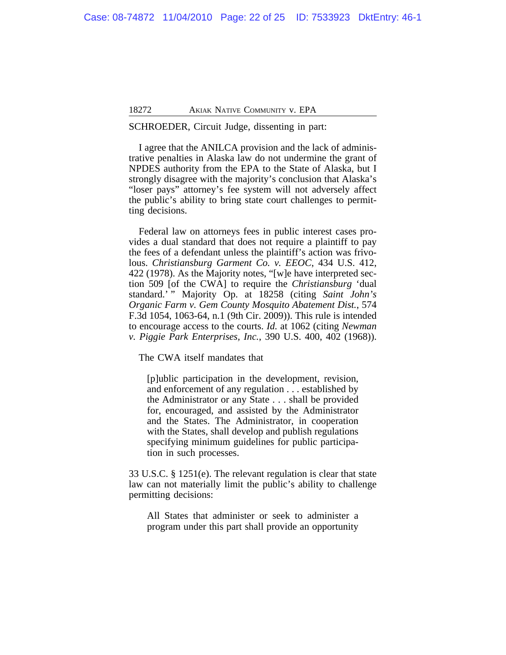## SCHROEDER, Circuit Judge, dissenting in part:

I agree that the ANILCA provision and the lack of administrative penalties in Alaska law do not undermine the grant of NPDES authority from the EPA to the State of Alaska, but I strongly disagree with the majority's conclusion that Alaska's "loser pays" attorney's fee system will not adversely affect the public's ability to bring state court challenges to permitting decisions.

Federal law on attorneys fees in public interest cases provides a dual standard that does not require a plaintiff to pay the fees of a defendant unless the plaintiff's action was frivolous. *Christiansburg Garment Co. v. EEOC*, 434 U.S. 412, 422 (1978). As the Majority notes, "[w]e have interpreted section 509 [of the CWA] to require the *Christiansburg* 'dual standard.' " Majority Op. at 18258 (citing *Saint John's Organic Farm v. Gem County Mosquito Abatement Dist.*, 574 F.3d 1054, 1063-64, n.1 (9th Cir. 2009)). This rule is intended to encourage access to the courts. *Id.* at 1062 (citing *Newman v. Piggie Park Enterprises, Inc.*, 390 U.S. 400, 402 (1968)).

The CWA itself mandates that

[p]ublic participation in the development, revision, and enforcement of any regulation . . . established by the Administrator or any State . . . shall be provided for, encouraged, and assisted by the Administrator and the States. The Administrator, in cooperation with the States, shall develop and publish regulations specifying minimum guidelines for public participation in such processes.

33 U.S.C. § 1251(e). The relevant regulation is clear that state law can not materially limit the public's ability to challenge permitting decisions:

All States that administer or seek to administer a program under this part shall provide an opportunity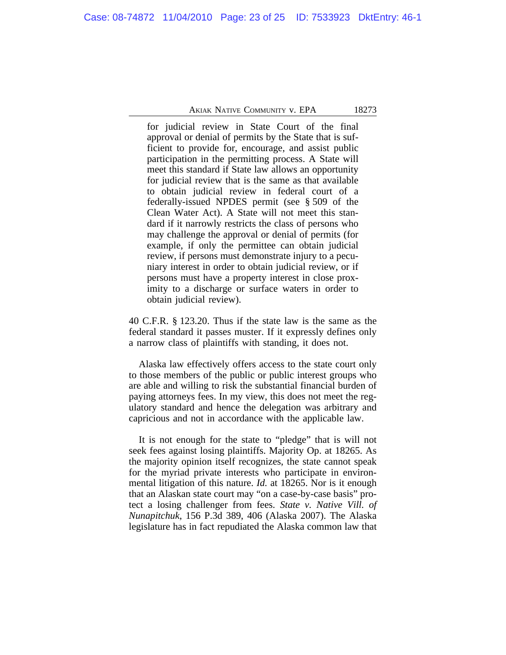for judicial review in State Court of the final approval or denial of permits by the State that is sufficient to provide for, encourage, and assist public participation in the permitting process. A State will meet this standard if State law allows an opportunity for judicial review that is the same as that available to obtain judicial review in federal court of a federally-issued NPDES permit (see § 509 of the Clean Water Act). A State will not meet this standard if it narrowly restricts the class of persons who may challenge the approval or denial of permits (for example, if only the permittee can obtain judicial review, if persons must demonstrate injury to a pecuniary interest in order to obtain judicial review, or if persons must have a property interest in close proximity to a discharge or surface waters in order to obtain judicial review).

40 C.F.R. § 123.20. Thus if the state law is the same as the federal standard it passes muster. If it expressly defines only a narrow class of plaintiffs with standing, it does not.

Alaska law effectively offers access to the state court only to those members of the public or public interest groups who are able and willing to risk the substantial financial burden of paying attorneys fees. In my view, this does not meet the regulatory standard and hence the delegation was arbitrary and capricious and not in accordance with the applicable law.

It is not enough for the state to "pledge" that is will not seek fees against losing plaintiffs. Majority Op. at 18265. As the majority opinion itself recognizes, the state cannot speak for the myriad private interests who participate in environmental litigation of this nature. *Id.* at 18265. Nor is it enough that an Alaskan state court may "on a case-by-case basis" protect a losing challenger from fees. *State v. Native Vill. of Nunapitchuk*, 156 P.3d 389, 406 (Alaska 2007). The Alaska legislature has in fact repudiated the Alaska common law that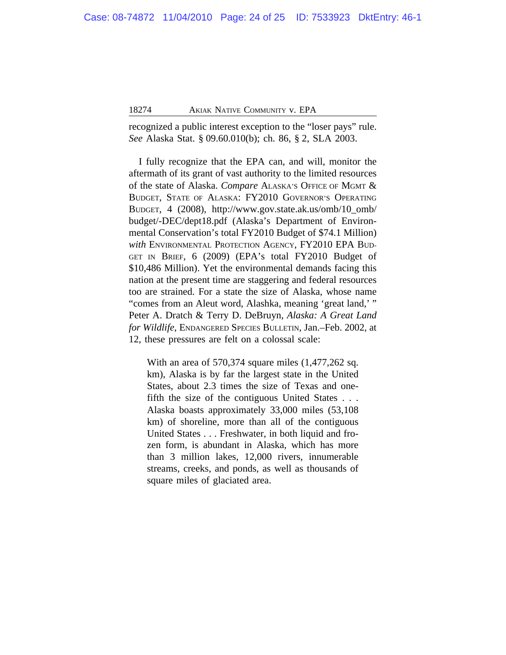recognized a public interest exception to the "loser pays" rule. *See* Alaska Stat. § 09.60.010(b); ch. 86, § 2, SLA 2003.

I fully recognize that the EPA can, and will, monitor the aftermath of its grant of vast authority to the limited resources of the state of Alaska. *Compare* ALASKA'S OFFICE OF MGMT & BUDGET, STATE OF ALASKA: FY2010 GOVERNOR'S OPERATING BUDGET, 4 (2008), http://www.gov.state.ak.us/omb/10\_omb/ budget/-DEC/dept18.pdf (Alaska's Department of Environmental Conservation's total FY2010 Budget of \$74.1 Million) *with* ENVIRONMENTAL PROTECTION AGENCY, FY2010 EPA BUD-GET IN BRIEF, 6 (2009) (EPA's total FY2010 Budget of \$10,486 Million). Yet the environmental demands facing this nation at the present time are staggering and federal resources too are strained. For a state the size of Alaska, whose name "comes from an Aleut word, Alashka, meaning 'great land,' " Peter A. Dratch & Terry D. DeBruyn, *Alaska: A Great Land for Wildlife*, ENDANGERED SPECIES BULLETIN, Jan.–Feb. 2002, at 12, these pressures are felt on a colossal scale:

With an area of 570,374 square miles (1,477,262 sq. km), Alaska is by far the largest state in the United States, about 2.3 times the size of Texas and onefifth the size of the contiguous United States . . . Alaska boasts approximately 33,000 miles (53,108 km) of shoreline, more than all of the contiguous United States . . . Freshwater, in both liquid and frozen form, is abundant in Alaska, which has more than 3 million lakes, 12,000 rivers, innumerable streams, creeks, and ponds, as well as thousands of square miles of glaciated area.